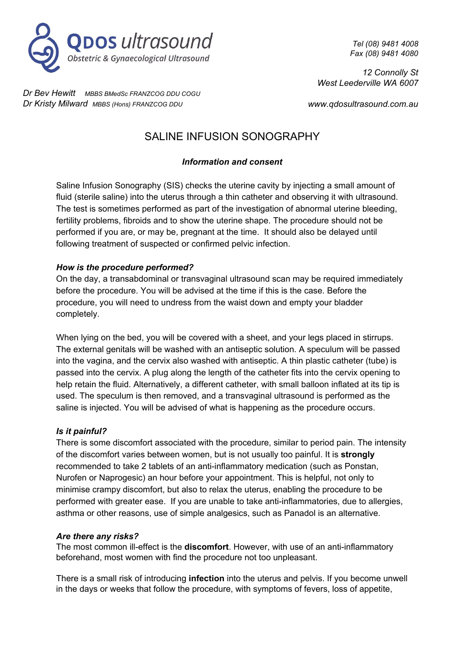

*Dr Bev Hewitt MBBS BMedSc FRANZCOG DDU COGU Dr Kristy Milward MBBS (Hons) FRANZCOG DDU*

*Tel (08) 9481 4008 Fax (08) 9481 4080*

*12 Connolly St West Leederville WA 6007*

*www.qdosultrasound.com.au*

# SALINE INFUSION SONOGRAPHY

### *Information and consent*

Saline Infusion Sonography (SIS) checks the uterine cavity by injecting a small amount of fluid (sterile saline) into the uterus through a thin catheter and observing it with ultrasound. The test is sometimes performed as part of the investigation of abnormal uterine bleeding, fertility problems, fibroids and to show the uterine shape. The procedure should not be performed if you are, or may be, pregnant at the time. It should also be delayed until following treatment of suspected or confirmed pelvic infection.

### *How is the procedure performed?*

On the day, a transabdominal or transvaginal ultrasound scan may be required immediately before the procedure. You will be advised at the time if this is the case. Before the procedure, you will need to undress from the waist down and empty your bladder completely.

When lying on the bed, you will be covered with a sheet, and your legs placed in stirrups. The external genitals will be washed with an antiseptic solution. A speculum will be passed into the vagina, and the cervix also washed with antiseptic. A thin plastic catheter (tube) is passed into the cervix. A plug along the length of the catheter fits into the cervix opening to help retain the fluid. Alternatively, a different catheter, with small balloon inflated at its tip is used. The speculum is then removed, and a transvaginal ultrasound is performed as the saline is injected. You will be advised of what is happening as the procedure occurs.

#### *Is it painful?*

There is some discomfort associated with the procedure, similar to period pain. The intensity of the discomfort varies between women, but is not usually too painful. It is **strongly** recommended to take 2 tablets of an anti-inflammatory medication (such as Ponstan, Nurofen or Naprogesic) an hour before your appointment. This is helpful, not only to minimise crampy discomfort, but also to relax the uterus, enabling the procedure to be performed with greater ease. If you are unable to take anti-inflammatories, due to allergies, asthma or other reasons, use of simple analgesics, such as Panadol is an alternative.

#### *Are there any risks?*

The most common ill-effect is the **discomfort**. However, with use of an anti-inflammatory beforehand, most women with find the procedure not too unpleasant.

There is a small risk of introducing **infection** into the uterus and pelvis. If you become unwell in the days or weeks that follow the procedure, with symptoms of fevers, loss of appetite,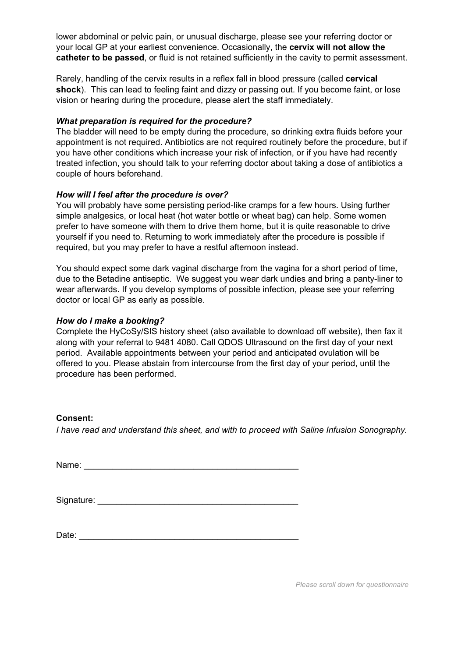lower abdominal or pelvic pain, or unusual discharge, please see your referring doctor or your local GP at your earliest convenience. Occasionally, the **cervix will not allow the catheter to be passed**, or fluid is not retained sufficiently in the cavity to permit assessment.

Rarely, handling of the cervix results in a reflex fall in blood pressure (called **cervical shock**). This can lead to feeling faint and dizzy or passing out. If you become faint, or lose vision or hearing during the procedure, please alert the staff immediately.

#### *What preparation is required for the procedure?*

The bladder will need to be empty during the procedure, so drinking extra fluids before your appointment is not required. Antibiotics are not required routinely before the procedure, but if you have other conditions which increase your risk of infection, or if you have had recently treated infection, you should talk to your referring doctor about taking a dose of antibiotics a couple of hours beforehand.

#### *How will I feel after the procedure is over?*

You will probably have some persisting period-like cramps for a few hours. Using further simple analgesics, or local heat (hot water bottle or wheat bag) can help. Some women prefer to have someone with them to drive them home, but it is quite reasonable to drive yourself if you need to. Returning to work immediately after the procedure is possible if required, but you may prefer to have a restful afternoon instead.

You should expect some dark vaginal discharge from the vagina for a short period of time, due to the Betadine antiseptic. We suggest you wear dark undies and bring a panty-liner to wear afterwards. If you develop symptoms of possible infection, please see your referring doctor or local GP as early as possible.

#### *How do I make a booking?*

Complete the HyCoSy/SIS history sheet (also available to download off website), then fax it along with your referral to 9481 4080. Call QDOS Ultrasound on the first day of your next period. Available appointments between your period and anticipated ovulation will be offered to you. Please abstain from intercourse from the first day of your period, until the procedure has been performed.

#### **Consent:**

*I have read and understand this sheet, and with to proceed with Saline Infusion Sonography.*

Name:  $\blacksquare$ 

| Signature: |  |
|------------|--|
|            |  |

 $Date:$ 

*Please scroll down for questionnaire*